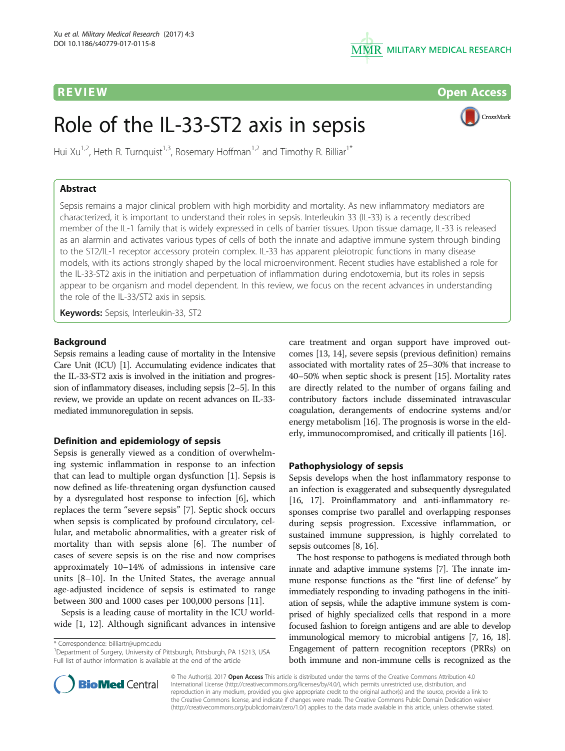

R EVI EW Open Access

CrossMark

# Role of the IL-33-ST2 axis in sepsis

Hui Xu<sup>1,2</sup>, Heth R. Turnquist<sup>1,3</sup>, Rosemary Hoffman<sup>1,2</sup> and Timothy R. Billiar<sup>1\*</sup>

# Abstract

Sepsis remains a major clinical problem with high morbidity and mortality. As new inflammatory mediators are characterized, it is important to understand their roles in sepsis. Interleukin 33 (IL-33) is a recently described member of the IL-1 family that is widely expressed in cells of barrier tissues. Upon tissue damage, IL-33 is released as an alarmin and activates various types of cells of both the innate and adaptive immune system through binding to the ST2/IL-1 receptor accessory protein complex. IL-33 has apparent pleiotropic functions in many disease models, with its actions strongly shaped by the local microenvironment. Recent studies have established a role for the IL-33-ST2 axis in the initiation and perpetuation of inflammation during endotoxemia, but its roles in sepsis appear to be organism and model dependent. In this review, we focus on the recent advances in understanding the role of the IL-33/ST2 axis in sepsis.

Keywords: Sepsis, Interleukin-33, ST2

# Background

Sepsis remains a leading cause of mortality in the Intensive Care Unit (ICU) [\[1\]](#page-6-0). Accumulating evidence indicates that the IL-33-ST2 axis is involved in the initiation and progression of inflammatory diseases, including sepsis [[2](#page-6-0)–[5\]](#page-6-0). In this review, we provide an update on recent advances on IL-33 mediated immunoregulation in sepsis.

## Definition and epidemiology of sepsis

Sepsis is generally viewed as a condition of overwhelming systemic inflammation in response to an infection that can lead to multiple organ dysfunction [[1\]](#page-6-0). Sepsis is now defined as life-threatening organ dysfunction caused by a dysregulated host response to infection [[6\]](#page-6-0), which replaces the term "severe sepsis" [\[7](#page-6-0)]. Septic shock occurs when sepsis is complicated by profound circulatory, cellular, and metabolic abnormalities, with a greater risk of mortality than with sepsis alone [\[6\]](#page-6-0). The number of cases of severe sepsis is on the rise and now comprises approximately 10–14% of admissions in intensive care units [[8](#page-6-0)–[10\]](#page-6-0). In the United States, the average annual age-adjusted incidence of sepsis is estimated to range between 300 and 1000 cases per 100,000 persons [[11](#page-6-0)].

Sepsis is a leading cause of mortality in the ICU worldwide [[1, 12\]](#page-6-0). Although significant advances in intensive

\* Correspondence: [billiartr@upmc.edu](mailto:billiartr@upmc.edu) <sup>1</sup>

<sup>1</sup>Department of Surgery, University of Pittsburgh, Pittsburgh, PA 15213, USA Full list of author information is available at the end of the article

care treatment and organ support have improved outcomes [\[13, 14\]](#page-6-0), severe sepsis (previous definition) remains associated with mortality rates of 25–30% that increase to 40–50% when septic shock is present [\[15\]](#page-6-0). Mortality rates are directly related to the number of organs failing and contributory factors include disseminated intravascular coagulation, derangements of endocrine systems and/or energy metabolism [[16\]](#page-6-0). The prognosis is worse in the elderly, immunocompromised, and critically ill patients [[16\]](#page-6-0).

# Pathophysiology of sepsis

Sepsis develops when the host inflammatory response to an infection is exaggerated and subsequently dysregulated [[16](#page-6-0), [17\]](#page-6-0). Proinflammatory and anti-inflammatory responses comprise two parallel and overlapping responses during sepsis progression. Excessive inflammation, or sustained immune suppression, is highly correlated to sepsis outcomes [[8, 16\]](#page-6-0).

The host response to pathogens is mediated through both innate and adaptive immune systems [[7](#page-6-0)]. The innate immune response functions as the "first line of defense" by immediately responding to invading pathogens in the initiation of sepsis, while the adaptive immune system is comprised of highly specialized cells that respond in a more focused fashion to foreign antigens and are able to develop immunological memory to microbial antigens [\[7](#page-6-0), [16, 18](#page-6-0)]. Engagement of pattern recognition receptors (PRRs) on both immune and non-immune cells is recognized as the



© The Author(s). 2017 Open Access This article is distributed under the terms of the Creative Commons Attribution 4.0 International License [\(http://creativecommons.org/licenses/by/4.0/](http://creativecommons.org/licenses/by/4.0/)), which permits unrestricted use, distribution, and reproduction in any medium, provided you give appropriate credit to the original author(s) and the source, provide a link to the Creative Commons license, and indicate if changes were made. The Creative Commons Public Domain Dedication waiver [\(http://creativecommons.org/publicdomain/zero/1.0/](http://creativecommons.org/publicdomain/zero/1.0/)) applies to the data made available in this article, unless otherwise stated.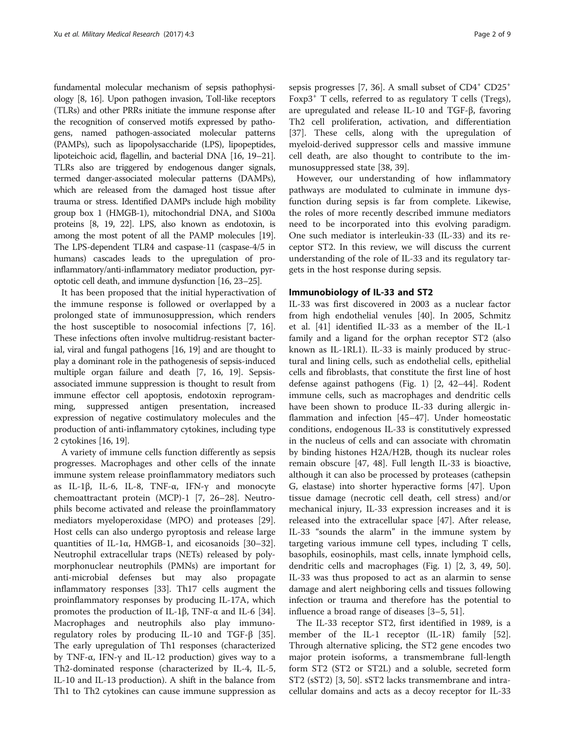fundamental molecular mechanism of sepsis pathophysiology [[8](#page-6-0), [16](#page-6-0)]. Upon pathogen invasion, Toll-like receptors (TLRs) and other PRRs initiate the immune response after the recognition of conserved motifs expressed by pathogens, named pathogen-associated molecular patterns (PAMPs), such as lipopolysaccharide (LPS), lipopeptides, lipoteichoic acid, flagellin, and bacterial DNA [[16](#page-6-0), [19](#page-6-0)–[21](#page-6-0)]. TLRs also are triggered by endogenous danger signals, termed danger-associated molecular patterns (DAMPs), which are released from the damaged host tissue after trauma or stress. Identified DAMPs include high mobility group box 1 (HMGB-1), mitochondrial DNA, and S100a proteins [\[8, 19](#page-6-0), [22](#page-6-0)]. LPS, also known as endotoxin, is among the most potent of all the PAMP molecules [\[19](#page-6-0)]. The LPS-dependent TLR4 and caspase-11 (caspase-4/5 in humans) cascades leads to the upregulation of proinflammatory/anti-inflammatory mediator production, pyroptotic cell death, and immune dysfunction [[16, 23](#page-6-0)–[25](#page-6-0)].

It has been proposed that the initial hyperactivation of the immune response is followed or overlapped by a prolonged state of immunosuppression, which renders the host susceptible to nosocomial infections [[7, 16](#page-6-0)]. These infections often involve multidrug-resistant bacterial, viral and fungal pathogens [\[16, 19](#page-6-0)] and are thought to play a dominant role in the pathogenesis of sepsis-induced multiple organ failure and death [\[7, 16, 19](#page-6-0)]. Sepsisassociated immune suppression is thought to result from immune effector cell apoptosis, endotoxin reprogramming, suppressed antigen presentation, increased expression of negative costimulatory molecules and the production of anti-inflammatory cytokines, including type 2 cytokines [\[16, 19](#page-6-0)].

A variety of immune cells function differently as sepsis progresses. Macrophages and other cells of the innate immune system release proinflammatory mediators such as IL-1β, IL-6, IL-8, TNF-α, IFN-γ and monocyte chemoattractant protein (MCP)-1 [[7, 26](#page-6-0)–[28](#page-6-0)]. Neutrophils become activated and release the proinflammatory mediators myeloperoxidase (MPO) and proteases [\[29](#page-6-0)]. Host cells can also undergo pyroptosis and release large quantities of IL-1α, HMGB-1, and eicosanoids [[30](#page-6-0)–[32](#page-6-0)]. Neutrophil extracellular traps (NETs) released by polymorphonuclear neutrophils (PMNs) are important for anti-microbial defenses but may also propagate inflammatory responses [\[33](#page-6-0)]. Th17 cells augment the proinflammatory responses by producing IL-17A, which promotes the production of IL-1β, TNF-α and IL-6 [\[34](#page-6-0)]. Macrophages and neutrophils also play immunoregulatory roles by producing IL-10 and TGF-β [\[35](#page-6-0)]. The early upregulation of Th1 responses (characterized by TNF-α, IFN-γ and IL-12 production) gives way to a Th2-dominated response (characterized by IL-4, IL-5, IL-10 and IL-13 production). A shift in the balance from Th1 to Th2 cytokines can cause immune suppression as sepsis progresses [\[7](#page-6-0), [36\]](#page-6-0). A small subset of  $CD4^+$   $CD25^+$ Foxp3<sup>+</sup> T cells, referred to as regulatory T cells (Tregs), are upregulated and release IL-10 and TGF-β, favoring Th2 cell proliferation, activation, and differentiation [[37\]](#page-7-0). These cells, along with the upregulation of myeloid-derived suppressor cells and massive immune cell death, are also thought to contribute to the immunosuppressed state [\[38](#page-7-0), [39](#page-7-0)].

However, our understanding of how inflammatory pathways are modulated to culminate in immune dysfunction during sepsis is far from complete. Likewise, the roles of more recently described immune mediators need to be incorporated into this evolving paradigm. One such mediator is interleukin-33 (IL-33) and its receptor ST2. In this review, we will discuss the current understanding of the role of IL-33 and its regulatory targets in the host response during sepsis.

## Immunobiology of IL-33 and ST2

IL-33 was first discovered in 2003 as a nuclear factor from high endothelial venules [\[40](#page-7-0)]. In 2005, Schmitz et al. [[41\]](#page-7-0) identified IL-33 as a member of the IL-1 family and a ligand for the orphan receptor ST2 (also known as IL-1RL1). IL-33 is mainly produced by structural and lining cells, such as endothelial cells, epithelial cells and fibroblasts, that constitute the first line of host defense against pathogens (Fig. [1\)](#page-2-0) [[2,](#page-6-0) [42](#page-7-0)–[44\]](#page-7-0). Rodent immune cells, such as macrophages and dendritic cells have been shown to produce IL-33 during allergic inflammation and infection [[45](#page-7-0)–[47](#page-7-0)]. Under homeostatic conditions, endogenous IL-33 is constitutively expressed in the nucleus of cells and can associate with chromatin by binding histones H2A/H2B, though its nuclear roles remain obscure [\[47, 48](#page-7-0)]. Full length IL-33 is bioactive, although it can also be processed by proteases (cathepsin G, elastase) into shorter hyperactive forms [[47\]](#page-7-0). Upon tissue damage (necrotic cell death, cell stress) and/or mechanical injury, IL-33 expression increases and it is released into the extracellular space [[47\]](#page-7-0). After release, IL-33 "sounds the alarm" in the immune system by targeting various immune cell types, including T cells, basophils, eosinophils, mast cells, innate lymphoid cells, dendritic cells and macrophages (Fig. [1\)](#page-2-0) [[2, 3](#page-6-0), [49, 50](#page-7-0)]. IL-33 was thus proposed to act as an alarmin to sense damage and alert neighboring cells and tissues following infection or trauma and therefore has the potential to influence a broad range of diseases [[3](#page-6-0)–[5,](#page-6-0) [51](#page-7-0)].

The IL-33 receptor ST2, first identified in 1989, is a member of the IL-1 receptor (IL-1R) family [\[52](#page-7-0)]. Through alternative splicing, the ST2 gene encodes two major protein isoforms, a transmembrane full-length form ST2 (ST2 or ST2L) and a soluble, secreted form ST2 (sST2) [[3,](#page-6-0) [50](#page-7-0)]. sST2 lacks transmembrane and intracellular domains and acts as a decoy receptor for IL-33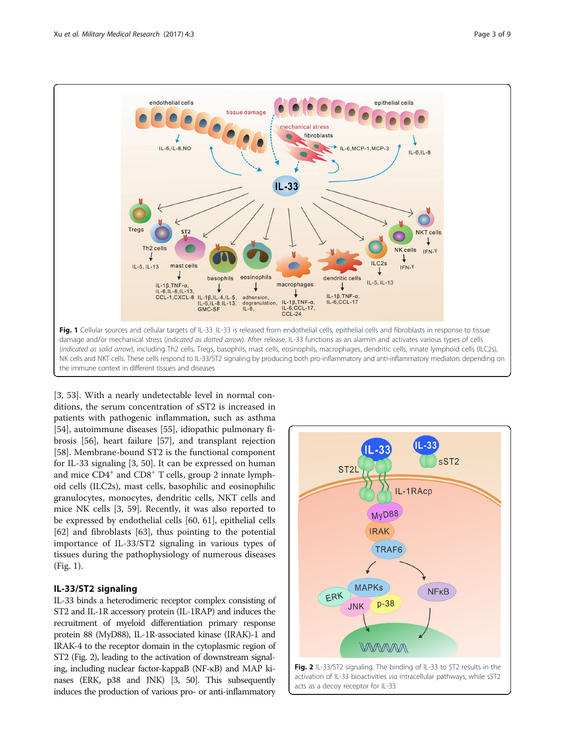<span id="page-2-0"></span>

[[3,](#page-6-0) [53](#page-7-0)]. With a nearly undetectable level in normal conditions, the serum concentration of sST2 is increased in patients with pathogenic inflammation, such as asthma [[54\]](#page-7-0), autoimmune diseases [\[55\]](#page-7-0), idiopathic pulmonary fibrosis [[56\]](#page-7-0), heart failure [[57](#page-7-0)], and transplant rejection [[58\]](#page-7-0). Membrane-bound ST2 is the functional component for IL-33 signaling [[3,](#page-6-0) [50\]](#page-7-0). It can be expressed on human and mice  $CD4^+$  and  $CD8^+$  T cells, group 2 innate lymphoid cells (ILC2s), mast cells, basophilic and eosinophilic granulocytes, monocytes, dendritic cells, NKT cells and mice NK cells [\[3](#page-6-0), [59](#page-7-0)]. Recently, it was also reported to be expressed by endothelial cells [\[60](#page-7-0), [61\]](#page-7-0), epithelial cells [[62\]](#page-7-0) and fibroblasts [[63\]](#page-7-0), thus pointing to the potential importance of IL-33/ST2 signaling in various types of tissues during the pathophysiology of numerous diseases (Fig. 1).

# IL-33/ST2 signaling

IL-33 binds a heterodimeric receptor complex consisting of ST2 and IL-1R accessory protein (IL-1RAP) and induces the recruitment of myeloid differentiation primary response protein 88 (MyD88), IL-1R-associated kinase (IRAK)-1 and IRAK-4 to the receptor domain in the cytoplasmic region of ST2 (Fig. 2), leading to the activation of downstream signaling, including nuclear factor-kappaB (NF-κB) and MAP kinases (ERK, p38 and JNK) [\[3,](#page-6-0) [50](#page-7-0)]. This subsequently induces the production of various pro- or anti-inflammatory

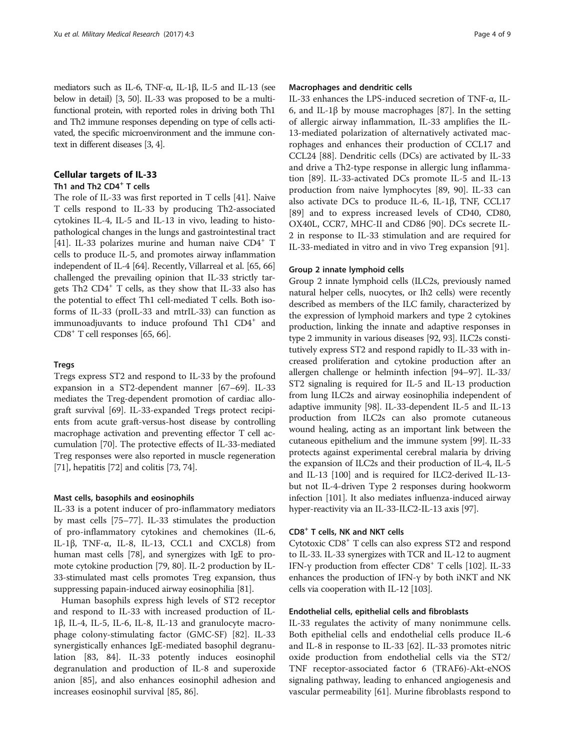mediators such as IL-6, TNF-α, IL-1β, IL-5 and IL-13 (see below in detail) [[3](#page-6-0), [50](#page-7-0)]. IL-33 was proposed to be a multifunctional protein, with reported roles in driving both Th1 and Th2 immune responses depending on type of cells activated, the specific microenvironment and the immune context in different diseases [\[3, 4\]](#page-6-0).

# Cellular targets of IL-33

# Th1 and Th2 CD4<sup>+</sup> T cells

The role of IL-33 was first reported in T cells [\[41\]](#page-7-0). Naive T cells respond to IL-33 by producing Th2-associated cytokines IL-4, IL-5 and IL-13 in vivo, leading to histopathological changes in the lungs and gastrointestinal tract [[41](#page-7-0)]. IL-33 polarizes murine and human naive CD4<sup>+</sup> T cells to produce IL-5, and promotes airway inflammation independent of IL-4 [[64](#page-7-0)]. Recently, Villarreal et al. [\[65, 66](#page-7-0)] challenged the prevailing opinion that IL-33 strictly targets Th2  $CD4^+$  T cells, as they show that IL-33 also has the potential to effect Th1 cell-mediated T cells. Both isoforms of IL-33 (proIL-33 and mtrIL-33) can function as immunoadjuvants to induce profound Th $1$  CD $4^+$  and  $CD8<sup>+</sup>$  T cell responses [[65](#page-7-0), [66\]](#page-7-0).

#### Tregs

Tregs express ST2 and respond to IL-33 by the profound expansion in a ST2-dependent manner [[67](#page-7-0)–[69\]](#page-7-0). IL-33 mediates the Treg-dependent promotion of cardiac allograft survival [[69](#page-7-0)]. IL-33-expanded Tregs protect recipients from acute graft-versus-host disease by controlling macrophage activation and preventing effector T cell accumulation [[70](#page-7-0)]. The protective effects of IL-33-mediated Treg responses were also reported in muscle regeneration [[71](#page-7-0)], hepatitis [[72](#page-7-0)] and colitis [[73](#page-7-0), [74\]](#page-7-0).

#### Mast cells, basophils and eosinophils

IL-33 is a potent inducer of pro-inflammatory mediators by mast cells [\[75](#page-7-0)–[77\]](#page-7-0). IL-33 stimulates the production of pro-inflammatory cytokines and chemokines (IL-6, IL-1β, TNF-α, IL-8, IL-13, CCL1 and CXCL8) from human mast cells [[78](#page-7-0)], and synergizes with IgE to promote cytokine production [[79, 80](#page-7-0)]. IL-2 production by IL-33-stimulated mast cells promotes Treg expansion, thus suppressing papain-induced airway eosinophilia [[81\]](#page-7-0).

Human basophils express high levels of ST2 receptor and respond to IL-33 with increased production of IL-1β, IL-4, IL-5, IL-6, IL-8, IL-13 and granulocyte macrophage colony-stimulating factor (GMC-SF) [[82\]](#page-7-0). IL-33 synergistically enhances IgE-mediated basophil degranulation [[83](#page-7-0), [84](#page-7-0)]. IL-33 potently induces eosinophil degranulation and production of IL-8 and superoxide anion [\[85\]](#page-7-0), and also enhances eosinophil adhesion and increases eosinophil survival [\[85](#page-7-0), [86\]](#page-8-0).

# Macrophages and dendritic cells

IL-33 enhances the LPS-induced secretion of TNF-α, IL-6, and IL-1β by mouse macrophages [[87\]](#page-8-0). In the setting of allergic airway inflammation, IL-33 amplifies the IL-13-mediated polarization of alternatively activated macrophages and enhances their production of CCL17 and CCL24 [[88\]](#page-8-0). Dendritic cells (DCs) are activated by IL-33 and drive a Th2-type response in allergic lung inflammation [\[89](#page-8-0)]. IL-33-activated DCs promote IL-5 and IL-13 production from naive lymphocytes [\[89, 90](#page-8-0)]. IL-33 can also activate DCs to produce IL-6, IL-1β, TNF, CCL17 [[89\]](#page-8-0) and to express increased levels of CD40, CD80, OX40L, CCR7, MHC-II and CD86 [\[90\]](#page-8-0). DCs secrete IL-2 in response to IL-33 stimulation and are required for IL-33-mediated in vitro and in vivo Treg expansion [[91\]](#page-8-0).

#### Group 2 innate lymphoid cells

Group 2 innate lymphoid cells (ILC2s, previously named natural helper cells, nuocytes, or Ih2 cells) were recently described as members of the ILC family, characterized by the expression of lymphoid markers and type 2 cytokines production, linking the innate and adaptive responses in type 2 immunity in various diseases [[92, 93\]](#page-8-0). ILC2s constitutively express ST2 and respond rapidly to IL-33 with increased proliferation and cytokine production after an allergen challenge or helminth infection [[94](#page-8-0)–[97\]](#page-8-0). IL-33/ ST2 signaling is required for IL-5 and IL-13 production from lung ILC2s and airway eosinophilia independent of adaptive immunity [[98](#page-8-0)]. IL-33-dependent IL-5 and IL-13 production from ILC2s can also promote cutaneous wound healing, acting as an important link between the cutaneous epithelium and the immune system [[99](#page-8-0)]. IL-33 protects against experimental cerebral malaria by driving the expansion of ILC2s and their production of IL-4, IL-5 and IL-13 [\[100](#page-8-0)] and is required for ILC2-derived IL-13 but not IL-4-driven Type 2 responses during hookworm infection [[101](#page-8-0)]. It also mediates influenza-induced airway hyper-reactivity via an IL-33-ILC2-IL-13 axis [[97](#page-8-0)].

#### CD8<sup>+</sup> T cells, NK and NKT cells

Cytotoxic CD8+ T cells can also express ST2 and respond to IL-33. IL-33 synergizes with TCR and IL-12 to augment IFN-γ production from effecter CD8<sup>+</sup> T cells [[102](#page-8-0)]. IL-33 enhances the production of IFN- $\gamma$  by both iNKT and NK cells via cooperation with IL-12 [\[103\]](#page-8-0).

#### Endothelial cells, epithelial cells and fibroblasts

IL-33 regulates the activity of many nonimmune cells. Both epithelial cells and endothelial cells produce IL-6 and IL-8 in response to IL-33 [\[62\]](#page-7-0). IL-33 promotes nitric oxide production from endothelial cells via the ST2/ TNF receptor-associated factor 6 (TRAF6)-Akt-eNOS signaling pathway, leading to enhanced angiogenesis and vascular permeability [[61](#page-7-0)]. Murine fibroblasts respond to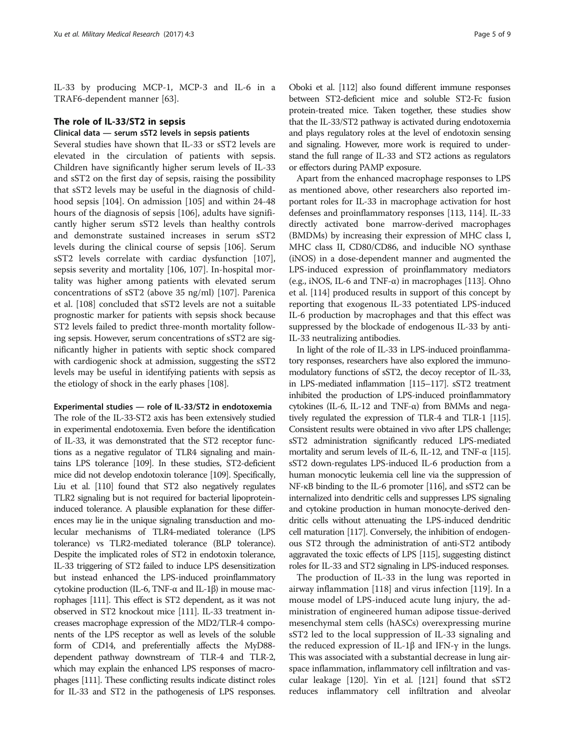IL-33 by producing MCP-1, MCP-3 and IL-6 in a TRAF6-dependent manner [[63](#page-7-0)].

#### The role of IL-33/ST2 in sepsis

# Clinical data — serum sST2 levels in sepsis patients

Several studies have shown that IL-33 or sST2 levels are elevated in the circulation of patients with sepsis. Children have significantly higher serum levels of IL-33 and sST2 on the first day of sepsis, raising the possibility that sST2 levels may be useful in the diagnosis of childhood sepsis [[104\]](#page-8-0). On admission [\[105](#page-8-0)] and within 24-48 hours of the diagnosis of sepsis [[106](#page-8-0)], adults have significantly higher serum sST2 levels than healthy controls and demonstrate sustained increases in serum sST2 levels during the clinical course of sepsis [[106](#page-8-0)]. Serum sST2 levels correlate with cardiac dysfunction [\[107](#page-8-0)], sepsis severity and mortality [\[106](#page-8-0), [107](#page-8-0)]. In-hospital mortality was higher among patients with elevated serum concentrations of sST2 (above 35 ng/ml) [\[107](#page-8-0)]. Parenica et al. [\[108\]](#page-8-0) concluded that sST2 levels are not a suitable prognostic marker for patients with sepsis shock because ST2 levels failed to predict three-month mortality following sepsis. However, serum concentrations of sST2 are significantly higher in patients with septic shock compared with cardiogenic shock at admission, suggesting the sST2 levels may be useful in identifying patients with sepsis as the etiology of shock in the early phases [[108](#page-8-0)].

## Experimental studies — role of IL-33/ST2 in endotoxemia

The role of the IL-33-ST2 axis has been extensively studied in experimental endotoxemia. Even before the identification of IL-33, it was demonstrated that the ST2 receptor functions as a negative regulator of TLR4 signaling and maintains LPS tolerance [\[109](#page-8-0)]. In these studies, ST2-deficient mice did not develop endotoxin tolerance [\[109](#page-8-0)]. Specifically, Liu et al. [[110\]](#page-8-0) found that ST2 also negatively regulates TLR2 signaling but is not required for bacterial lipoproteininduced tolerance. A plausible explanation for these differences may lie in the unique signaling transduction and molecular mechanisms of TLR4-mediated tolerance (LPS tolerance) vs TLR2-mediated tolerance (BLP tolerance). Despite the implicated roles of ST2 in endotoxin tolerance, IL-33 triggering of ST2 failed to induce LPS desensitization but instead enhanced the LPS-induced proinflammatory cytokine production (IL-6, TNF-α and IL-1β) in mouse macrophages [[111\]](#page-8-0). This effect is ST2 dependent, as it was not observed in ST2 knockout mice [\[111\]](#page-8-0). IL-33 treatment increases macrophage expression of the MD2/TLR-4 components of the LPS receptor as well as levels of the soluble form of CD14, and preferentially affects the MyD88 dependent pathway downstream of TLR-4 and TLR-2, which may explain the enhanced LPS responses of macrophages [[111\]](#page-8-0). These conflicting results indicate distinct roles for IL-33 and ST2 in the pathogenesis of LPS responses.

Oboki et al. [\[112](#page-8-0)] also found different immune responses between ST2-deficient mice and soluble ST2-Fc fusion protein-treated mice. Taken together, these studies show that the IL-33/ST2 pathway is activated during endotoxemia and plays regulatory roles at the level of endotoxin sensing and signaling. However, more work is required to understand the full range of IL-33 and ST2 actions as regulators or effectors during PAMP exposure.

Apart from the enhanced macrophage responses to LPS as mentioned above, other researchers also reported important roles for IL-33 in macrophage activation for host defenses and proinflammatory responses [[113](#page-8-0), [114\]](#page-8-0). IL-33 directly activated bone marrow-derived macrophages (BMDMs) by increasing their expression of MHC class I, MHC class II, CD80/CD86, and inducible NO synthase (iNOS) in a dose-dependent manner and augmented the LPS-induced expression of proinflammatory mediators (e.g., iNOS, IL-6 and TNF- $\alpha$ ) in macrophages [[113](#page-8-0)]. Ohno et al. [\[114\]](#page-8-0) produced results in support of this concept by reporting that exogenous IL-33 potentiated LPS-induced IL-6 production by macrophages and that this effect was suppressed by the blockade of endogenous IL-33 by anti-IL-33 neutralizing antibodies.

In light of the role of IL-33 in LPS-induced proinflammatory responses, researchers have also explored the immunomodulatory functions of sST2, the decoy receptor of IL-33, in LPS-mediated inflammation [\[115](#page-8-0)–[117\]](#page-8-0). sST2 treatment inhibited the production of LPS-induced proinflammatory cytokines (IL-6, IL-12 and TNF-α) from BMMs and negatively regulated the expression of TLR-4 and TLR-1 [[115](#page-8-0)]. Consistent results were obtained in vivo after LPS challenge; sST2 administration significantly reduced LPS-mediated mortality and serum levels of IL-6, IL-12, and TNF- $\alpha$  [[115\]](#page-8-0). sST2 down-regulates LPS-induced IL-6 production from a human monocytic leukemia cell line via the suppression of NF-κB binding to the IL-6 promoter [\[116](#page-8-0)], and sST2 can be internalized into dendritic cells and suppresses LPS signaling and cytokine production in human monocyte-derived dendritic cells without attenuating the LPS-induced dendritic cell maturation [[117\]](#page-8-0). Conversely, the inhibition of endogenous ST2 through the administration of anti-ST2 antibody aggravated the toxic effects of LPS [\[115\]](#page-8-0), suggesting distinct roles for IL-33 and ST2 signaling in LPS-induced responses.

The production of IL-33 in the lung was reported in airway inflammation [\[118\]](#page-8-0) and virus infection [\[119\]](#page-8-0). In a mouse model of LPS-induced acute lung injury, the administration of engineered human adipose tissue-derived mesenchymal stem cells (hASCs) overexpressing murine sST2 led to the local suppression of IL-33 signaling and the reduced expression of IL-1β and IFN-γ in the lungs. This was associated with a substantial decrease in lung airspace inflammation, inflammatory cell infiltration and vascular leakage [\[120\]](#page-8-0). Yin et al. [\[121\]](#page-8-0) found that sST2 reduces inflammatory cell infiltration and alveolar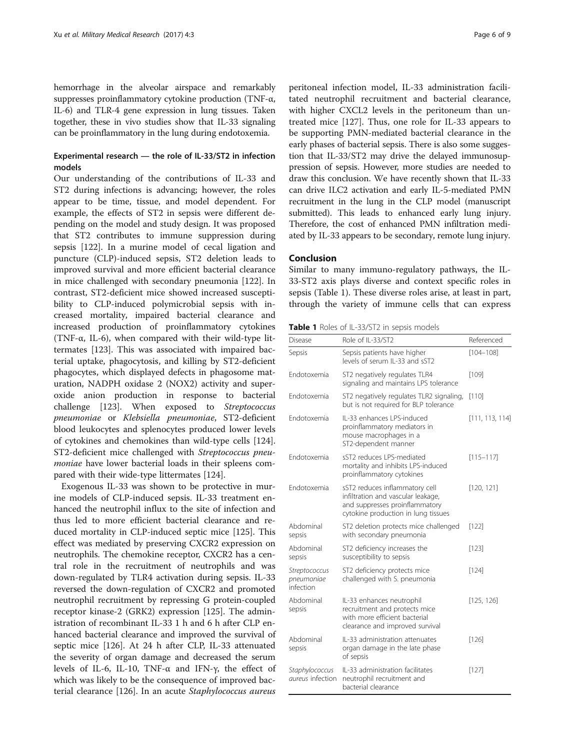hemorrhage in the alveolar airspace and remarkably suppresses proinflammatory cytokine production (TNF-α, IL-6) and TLR-4 gene expression in lung tissues. Taken together, these in vivo studies show that IL-33 signaling can be proinflammatory in the lung during endotoxemia.

# Experimental research — the role of IL-33/ST2 in infection models

Our understanding of the contributions of IL-33 and ST2 during infections is advancing; however, the roles appear to be time, tissue, and model dependent. For example, the effects of ST2 in sepsis were different depending on the model and study design. It was proposed that ST2 contributes to immune suppression during sepsis [\[122](#page-8-0)]. In a murine model of cecal ligation and puncture (CLP)-induced sepsis, ST2 deletion leads to improved survival and more efficient bacterial clearance in mice challenged with secondary pneumonia [\[122\]](#page-8-0). In contrast, ST2-deficient mice showed increased susceptibility to CLP-induced polymicrobial sepsis with increased mortality, impaired bacterial clearance and increased production of proinflammatory cytokines (TNF- $\alpha$ , IL-6), when compared with their wild-type littermates [\[123\]](#page-8-0). This was associated with impaired bacterial uptake, phagocytosis, and killing by ST2-deficient phagocytes, which displayed defects in phagosome maturation, NADPH oxidase 2 (NOX2) activity and superoxide anion production in response to bacterial challenge [\[123](#page-8-0)]. When exposed to Streptococcus pneumoniae or Klebsiella pneumoniae, ST2-deficient blood leukocytes and splenocytes produced lower levels of cytokines and chemokines than wild-type cells [\[124](#page-8-0)]. ST2-deficient mice challenged with Streptococcus pneumoniae have lower bacterial loads in their spleens compared with their wide-type littermates [[124](#page-8-0)].

Exogenous IL-33 was shown to be protective in murine models of CLP-induced sepsis. IL-33 treatment enhanced the neutrophil influx to the site of infection and thus led to more efficient bacterial clearance and reduced mortality in CLP-induced septic mice [[125](#page-8-0)]. This effect was mediated by preserving CXCR2 expression on neutrophils. The chemokine receptor, CXCR2 has a central role in the recruitment of neutrophils and was down-regulated by TLR4 activation during sepsis. IL-33 reversed the down-regulation of CXCR2 and promoted neutrophil recruitment by repressing G protein-coupled receptor kinase-2 (GRK2) expression [\[125](#page-8-0)]. The administration of recombinant IL-33 1 h and 6 h after CLP enhanced bacterial clearance and improved the survival of septic mice [[126\]](#page-8-0). At 24 h after CLP, IL-33 attenuated the severity of organ damage and decreased the serum levels of IL-6, IL-10, TNF-α and IFN-γ, the effect of which was likely to be the consequence of improved bacterial clearance [\[126](#page-8-0)]. In an acute Staphylococcus aureus

peritoneal infection model, IL-33 administration facilitated neutrophil recruitment and bacterial clearance, with higher CXCL2 levels in the peritoneum than untreated mice [[127](#page-8-0)]. Thus, one role for IL-33 appears to be supporting PMN-mediated bacterial clearance in the early phases of bacterial sepsis. There is also some suggestion that IL-33/ST2 may drive the delayed immunosuppression of sepsis. However, more studies are needed to draw this conclusion. We have recently shown that IL-33 can drive ILC2 activation and early IL-5-mediated PMN recruitment in the lung in the CLP model (manuscript submitted). This leads to enhanced early lung injury. Therefore, the cost of enhanced PMN infiltration mediated by IL-33 appears to be secondary, remote lung injury.

# Conclusion

Similar to many immuno-regulatory pathways, the IL-33-ST2 axis plays diverse and context specific roles in sepsis (Table 1). These diverse roles arise, at least in part, through the variety of immune cells that can express

Table 1 Roles of IL-33/ST2 in sepsis models

| Disease                                   | Role of IL-33/ST2                                                                                                                             | Referenced      |
|-------------------------------------------|-----------------------------------------------------------------------------------------------------------------------------------------------|-----------------|
| Sepsis                                    | Sepsis patients have higher<br>levels of serum IL-33 and sST2                                                                                 | $[104 - 108]$   |
| Endotoxemia                               | ST2 negatively regulates TLR4<br>signaling and maintains LPS tolerance                                                                        | [109]           |
| Fndotoxemia                               | ST2 negatively regulates TLR2 signaling,<br>but is not required for BLP tolerance                                                             | [110]           |
| Fndotoxemia                               | IL-33 enhances LPS-induced<br>proinflammatory mediators in<br>mouse macrophages in a<br>ST2-dependent manner                                  | [111, 113, 114] |
| Fndotoxemia                               | sST2 reduces LPS-mediated<br>mortality and inhibits LPS-induced<br>proinflammatory cytokines                                                  | $[115 - 117]$   |
| Fndotoxemia                               | sST2 reduces inflammatory cell<br>infiltration and vascular leakage,<br>and suppresses proinflammatory<br>cytokine production in lung tissues | [120, 121]      |
| Abdominal<br>sepsis                       | ST2 deletion protects mice challenged<br>with secondary pneumonia                                                                             | [122]           |
| Abdominal<br>sepsis                       | ST2 deficiency increases the<br>susceptibility to sepsis                                                                                      | [123]           |
| Streptococcus<br>pneumoniae<br>infection  | ST2 deficiency protects mice<br>challenged with S. pneumonia                                                                                  | [124]           |
| Abdominal<br>sepsis                       | IL-33 enhances neutrophil<br>recruitment and protects mice<br>with more efficient bacterial<br>clearance and improved survival                | [125, 126]      |
| Abdominal<br>sepsis                       | IL-33 administration attenuates<br>organ damage in the late phase<br>of sepsis                                                                | [126]           |
| Staphylococcus<br><i>aureus</i> infection | IL-33 administration facilitates<br>neutrophil recruitment and<br>bacterial clearance                                                         | [127]           |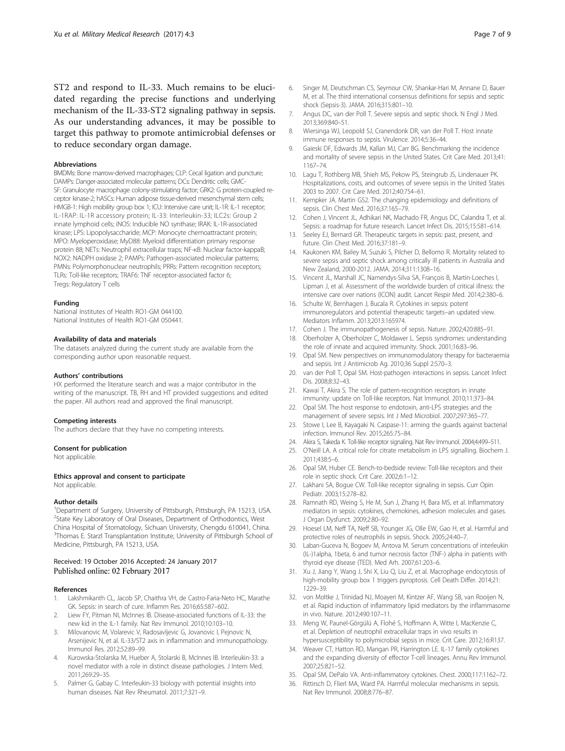<span id="page-6-0"></span>ST2 and respond to IL-33. Much remains to be elucidated regarding the precise functions and underlying mechanism of the IL-33-ST2 signaling pathway in sepsis. As our understanding advances, it may be possible to target this pathway to promote antimicrobial defenses or to reduce secondary organ damage.

#### Abbreviations

BMDMs: Bone marrow-derived macrophages; CLP: Cecal ligation and puncture; DAMPs: Danger-associated molecular patterns; DCs: Dendritic cells; GMC-SF: Granulocyte macrophage colony-stimulating factor; GRK2: G protein-coupled receptor kinase-2; hASCs: Human adipose tissue-derived mesenchymal stem cells; HMGB-1: High mobility group box 1; ICU: Intensive care unit; IL-1R: IL-1 receptor; IL-1RAP: IL-1R accessory protein; IL-33: Interleukin-33; ILC2s: Group 2 innate lymphoid cells; iNOS: Inducible NO synthase; IRAK: IL-1R-associated kinase; LPS: Lipopolysaccharide; MCP: Monocyte chemoattractant protein; MPO: Myeloperoxidase; MyD88: Myeloid differentiation primary response protein 88; NETs: Neutrophil extracellular traps; NF-κB: Nuclear factor-kappaB; NOX2: NADPH oxidase 2; PAMPs: Pathogen-associated molecular patterns; PMNs: Polymorphonuclear neutrophils; PRRs: Pattern recognition receptors; TLRs: Toll-like receptors; TRAF6: TNF receptor-associated factor 6; Tregs: Regulatory T cells

#### Funding

National Institutes of Health RO1-GM 044100. National Institutes of Health RO1-GM 050441.

#### Availability of data and materials

The datasets analyzed during the current study are available from the corresponding author upon reasonable request.

#### Authors' contributions

HX performed the literature search and was a major contributor in the writing of the manuscript. TB, RH and HT provided suggestions and edited the paper. All authors read and approved the final manuscript.

#### Competing interests

The authors declare that they have no competing interests.

#### Consent for publication

Not applicable.

#### Ethics approval and consent to participate

Not applicable.

#### Author details

<sup>1</sup>Department of Surgery, University of Pittsburgh, Pittsburgh, PA 15213, USA. <sup>2</sup>State Key Laboratory of Oral Diseases, Department of Orthodontics, West China Hospital of Stomatology, Sichuan University, Chengdu 610041, China. <sup>3</sup>Thomas E. Starzl Transplantation Institute, University of Pittsburgh School of Medicine, Pittsburgh, PA 15213, USA.

#### Received: 19 October 2016 Accepted: 24 January 2017 Published online: 02 February 2017

#### References

- Lakshmikanth CL, Jacob SP, Chaithra VH, de Castro-Faria-Neto HC, Marathe GK. Sepsis: in search of cure. Inflamm Res. 2016;65:587–602.
- 2. Liew FY, Pitman NI, McInnes IB. Disease-associated functions of IL-33: the new kid in the IL-1 family. Nat Rev Immunol. 2010;10:103–10.
- 3. Milovanovic M, Volarevic V, Radosavljevic G, Jovanovic I, Pejnovic N, Arsenijevic N, et al. IL-33/ST2 axis in inflammation and immunopathology. Immunol Res. 2012;52:89–99.
- 4. Kurowska-Stolarska M, Hueber A, Stolarski B, McInnes IB. Interleukin-33: a novel mediator with a role in distinct disease pathologies. J Intern Med. 2011;269:29–35.
- 5. Palmer G, Gabay C. Interleukin-33 biology with potential insights into human diseases. Nat Rev Rheumatol. 2011;7:321–9.
- 6. Singer M, Deutschman CS, Seymour CW, Shankar-Hari M, Annane D, Bauer M, et al. The third international consensus definitions for sepsis and septic shock (Sepsis-3). JAMA. 2016;315:801–10.
- 7. Angus DC, van der Poll T. Severe sepsis and septic shock. N Engl J Med. 2013;369:840–51.
- 8. Wiersinga WJ, Leopold SJ, Cranendonk DR, van der Poll T. Host innate immune responses to sepsis. Virulence. 2014;5:36–44.
- 9. Gaieski DF, Edwards JM, Kallan MJ, Carr BG. Benchmarking the incidence and mortality of severe sepsis in the United States. Crit Care Med. 2013;41: 1167–74.
- 10. Lagu T, Rothberg MB, Shieh MS, Pekow PS, Steingrub JS, Lindenauer PK. Hospitalizations, costs, and outcomes of severe sepsis in the United States 2003 to 2007. Crit Care Med. 2012;40:754–61.
- 11. Kempker JA. Martin GS2. The changing epidemiology and definitions of sepsis. Clin Chest Med. 2016;37:165–79.
- 12. Cohen J, Vincent JL, Adhikari NK, Machado FR, Angus DC, Calandra T, et al. Sepsis: a roadmap for future research. Lancet Infect Dis. 2015;15:581–614.
- 13. Seeley EJ, Bernard GR. Therapeutic targets in sepsis: past, present, and future. Clin Chest Med. 2016;37:181–9.
- 14. Kaukonen KM, Bailey M, Suzuki S, Pilcher D, Bellomo R. Mortality related to severe sepsis and septic shock among critically ill patients in Australia and New Zealand, 2000-2012. JAMA. 2014;311:1308–16.
- 15. Vincent JL, Marshall JC, Namendys-Silva SA, François B, Martin-Loeches I, Lipman J, et al. Assessment of the worldwide burden of critical illness: the intensive care over nations (ICON) audit. Lancet Respir Med. 2014;2:380–6.
- 16. Schulte W, Bernhagen J, Bucala R. Cytokines in sepsis: potent immunoregulators and potential therapeutic targets–an updated view. Mediators Inflamm. 2013;2013:165974.
- 17. Cohen J. The immunopathogenesis of sepsis. Nature. 2002;420:885–91.
- 18. Oberholzer A, Oberholzer C, Moldawer L. Sepsis syndromes: understanding the role of innate and acquired immunity. Shock. 2001;16:83–96.
- 19. Opal SM. New perspectives on immunomodulatory therapy for bacteraemia and sepsis. Int J Antimicrob Ag. 2010;36 Suppl 2:S70–3.
- 20. van der Poll T, Opal SM. Host-pathogen interactions in sepsis. Lancet Infect Dis. 2008;8:32–43.
- 21. Kawai T, Akira S. The role of pattern-recognition receptors in innate immunity: update on Toll-like receptors. Nat Immunol. 2010;11:373–84.
- 22. Opal SM. The host response to endotoxin, anti-LPS strategies and the management of severe sepsis. Int J Med Microbiol. 2007;297:365–77.
- 23. Stowe I, Lee B, Kayagaki N. Caspase-11: arming the guards against bacterial infection. Immunol Rev. 2015;265:75–84.
- 24. Akira S, Takeda K. Toll-like receptor signaling. Nat Rev Immunol. 2004;4:499-511.
- 25. O'Neill LA. A critical role for citrate metabolism in LPS signalling. Biochem J. 2011;438:5–6.
- 26. Opal SM, Huber CE. Bench-to-bedside review: Toll-like receptors and their role in septic shock. Crit Care. 2002;6:1–12.
- Lakhani SA, Bogue CW. Toll-like receptor signaling in sepsis. Curr Opin Pediatr. 2003;15:278–82.
- 28. Ramnath RD, Weing S, He M, Sun J, Zhang H, Bara MS, et al. Inflammatory mediators in sepsis: cytokines, chemokines, adhesion molecules and gases. J Organ Dysfunct. 2009;2:80–92.
- 29. Hoesel LM, Neff TA, Neff SB, Younger JG, Olle EW, Gao H, et al. Harmful and protective roles of neutrophils in sepsis. Shock. 2005;24:40–7.
- 30. Laban-Guceva N, Bogoev M, Antova M. Serum concentrations of interleukin (IL-)1alpha, 1beta, 6 and tumor necrosis factor (TNF-) alpha in patients with thyroid eye disease (TED). Med Arh. 2007;61:203–6.
- 31. Xu J, Jiang Y, Wang J, Shi X, Liu Q, Liu Z, et al. Macrophage endocytosis of high-mobility group box 1 triggers pyroptosis. Cell Death Differ. 2014;21: 1229–39.
- 32. von Moltke J, Trinidad NJ, Moayeri M, Kintzer AF, Wang SB, van Rooijen N, et al. Rapid induction of inflammatory lipid mediators by the inflammasome in vivo. Nature. 2012;490:107–11.
- 33. Meng W, Paunel-Görgülü A, Flohé S, Hoffmann A, Witte I, MacKenzie C, et al. Depletion of neutrophil extracellular traps in vivo results in hypersusceptibility to polymicrobial sepsis in mice. Crit Care. 2012;16:R137.
- 34. Weaver CT, Hatton RD, Mangan PR, Harrington LE. IL-17 family cytokines and the expanding diversity of effector T-cell lineages. Annu Rev Immunol. 2007;25:821–52.
- 35. Opal SM, DePalo VA. Anti-inflammatory cytokines. Chest. 2000;117:1162–72.
- 36. Rittirsch D, Flierl MA, Ward PA. Harmful molecular mechanisms in sepsis. Nat Rev Immunol. 2008;8:776–87.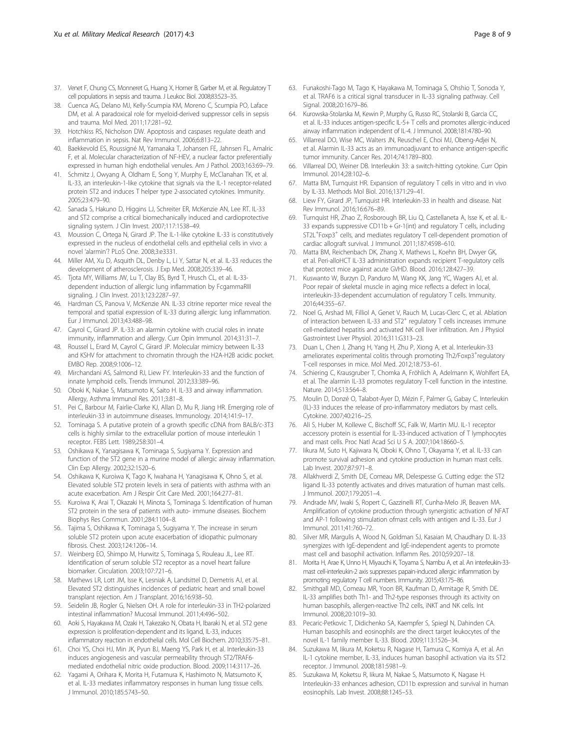- <span id="page-7-0"></span>37. Venet F, Chung CS, Monneret G, Huang X, Horner B, Garber M, et al. Regulatory T cell populations in sepsis and trauma. J Leukoc Biol. 2008;83:523–35.
- 38. Cuenca AG, Delano MJ, Kelly-Scumpia KM, Moreno C, Scumpia PO, Laface DM, et al. A paradoxical role for myeloid-derived suppressor cells in sepsis and trauma. Mol Med. 2011;17:281–92.
- 39. Hotchkiss RS, Nicholson DW. Apoptosis and caspases regulate death and inflammation in sepsis. Nat Rev Immunol. 2006;6:813–22.
- 40. Baekkevold ES, Roussigné M, Yamanaka T, Johansen FE, Jahnsen FL, Amalric F, et al. Molecular characterization of NF-HEV, a nuclear factor preferentially expressed in human high endothelial venules. Am J Pathol. 2003;163:69–79.
- 41. Schmitz J, Owyang A, Oldham E, Song Y, Murphy E, McClanahan TK, et al. IL-33, an interleukin-1-like cytokine that signals via the IL-1 receptor-related protein ST2 and induces T helper type 2-associated cytokines. Immunity. 2005;23:479–90.
- 42. Sanada S, Hakuno D, Higgins LJ, Schreiter ER, McKenzie AN, Lee RT. IL-33 and ST2 comprise a critical biomechanically induced and cardioprotective signaling system. J Clin Invest. 2007;117:1538–49.
- 43. Moussion C, Ortega N, Girard JP. The IL-1-like cytokine IL-33 is constitutively expressed in the nucleus of endothelial cells and epithelial cells in vivo: a novel 'alarmin'? PLoS One. 2008;3:e3331.
- 44. Miller AM, Xu D, Asquith DL, Denby L, Li Y, Sattar N, et al. IL-33 reduces the development of atherosclerosis. J Exp Med. 2008;205:339–46.
- 45. Tjota MY, Williams JW, Lu T, Clay BS, Byrd T, Hrusch CL, et al. IL-33 dependent induction of allergic lung inflammation by FcgammaRIII signaling. J Clin Invest. 2013;123:2287–97.
- 46. Hardman CS, Panova V, McKenzie AN. IL-33 citrine reporter mice reveal the temporal and spatial expression of IL-33 during allergic lung inflammation. Eur J Immunol. 2013;43:488–98.
- 47. Cayrol C, Girard JP. IL-33: an alarmin cytokine with crucial roles in innate immunity, inflammation and allergy. Curr Opin Immunol. 2014;31:31–7.
- 48. Roussel L, Erard M, Cayrol C, Girard JP. Molecular mimicry between IL-33 and KSHV for attachment to chromatin through the H2A-H2B acidic pocket. EMBO Rep. 2008;9:1006–12.
- 49. Mirchandani AS, Salmond RJ, Liew FY. Interleukin-33 and the function of innate lymphoid cells. Trends Immunol. 2012;33:389–96.
- 50. Oboki K, Nakae S, Matsumoto K, Saito H. IL-33 and airway inflammation. Allergy, Asthma Immunol Res. 2011;3:81–8.
- 51. Pei C, Barbour M, Fairlie-Clarke KJ, Allan D, Mu R, Jiang HR. Emerging role of interleukin-33 in autoimmune diseases. Immunology. 2014;141:9–17.
- 52. Tominaga S. A putative protein of a growth specific cDNA from BALB/c-3T3 cells is highly similar to the extracellular portion of mouse interleukin 1 receptor. FEBS Lett. 1989;258:301–4.
- 53. Oshikawa K, Yanagisawa K, Tominaga S, Sugiyama Y. Expression and function of the ST2 gene in a murine model of allergic airway inflammation. Clin Exp Allergy. 2002;32:1520–6.
- 54. Oshikawa K, Kuroiwa K, Tago K, Iwahana H, Yanagisawa K, Ohno S, et al. Elevated soluble ST2 protein levels in sera of patients with asthma with an acute exacerbation. Am J Respir Crit Care Med. 2001;164:277–81.
- 55. Kuroiwa K, Arai T, Okazaki H, Minota S, Tominaga S. Identification of human ST2 protein in the sera of patients with auto- immune diseases. Biochem Biophys Res Commun. 2001;284:1104–8.
- 56. Tajima S, Oshikawa K, Tominaga S, Sugiyama Y. The increase in serum soluble ST2 protein upon acute exacerbation of idiopathic pulmonary fibrosis. Chest. 2003;124:1206–14.
- 57. Weinberg EO, Shimpo M, Hurwitz S, Tominaga S, Rouleau JL, Lee RT. Identification of serum soluble ST2 receptor as a novel heart failure biomarker. Circulation. 2003;107:721–6.
- 58. Mathews LR, Lott JM, Isse K, Lesniak A, Landsittel D, Demetris AJ, et al. Elevated ST2 distinguishes incidences of pediatric heart and small bowel transplant rejection. Am J Transplant. 2016;16:938–50.
- 59. Seidelin JB, Rogler G, Nielsen OH. A role for interleukin-33 in TH2-polarized intestinal inflammation? Mucosal Immunol. 2011;4:496–502.
- 60. Aoki S, Hayakawa M, Ozaki H, Takezako N, Obata H, Ibaraki N, et al. ST2 gene expression is proliferation-dependent and its ligand, IL-33, induces inflammatory reaction in endothelial cells. Mol Cell Biochem. 2010;335:75–81.
- 61. Choi YS, Choi HJ, Min JK, Pyun BJ, Maeng YS, Park H, et al. Interleukin-33 induces angiogenesis and vascular permeability through ST2/TRAF6 mediated endothelial nitric oxide production. Blood. 2009;114:3117–26.
- 62. Yagami A, Orihara K, Morita H, Futamura K, Hashimoto N, Matsumoto K, et al. IL-33 mediates inflammatory responses in human lung tissue cells. J Immunol. 2010;185:5743–50.
- 63. Funakoshi-Tago M, Tago K, Hayakawa M, Tominaga S, Ohshio T, Sonoda Y, et al. TRAF6 is a critical signal transducer in IL-33 signaling pathway. Cell Signal. 2008;20:1679–86.
- 64. Kurowska-Stolarska M, Kewin P, Murphy G, Russo RC, Stolarski B, Garcia CC, et al. IL-33 induces antigen-specific IL-5+ T cells and promotes allergic-induced airway inflammation independent of IL-4. J Immunol. 2008;181:4780–90.
- Villarreal DO, Wise MC, Walters JN, Reuschel E, Choi MJ, Obeng-Adjei N, et al. Alarmin IL-33 acts as an immunoadjuvant to enhance antigen-specific tumor immunity. Cancer Res. 2014;74:1789–800.
- 66. Villarreal DO, Weiner DB. Interleukin 33: a switch-hitting cytokine. Curr Opin Immunol. 2014;28:102–6.
- 67. Matta BM, Turnquist HR. Expansion of regulatory T cells in vitro and in vivo by IL-33. Methods Mol Biol. 2016;1371:29–41.
- 68. Liew FY, Girard JP, Turnquist HR. Interleukin-33 in health and disease. Nat Rev Immunol. 2016;16:676–89.
- Turnquist HR, Zhao Z, Rosborough BR, Liu Q, Castellaneta A, Isse K, et al. IL-33 expands suppressive CD11b + Gr-1(int) and regulatory T cells, including ST2L<sup>+</sup>Foxp3<sup>+</sup> cells, and mediates regulatory T cell-dependent promotion of cardiac allograft survival. J Immunol. 2011;187:4598–610.
- 70. Matta BM, Reichenbach DK, Zhang X, Mathews L, Koehn BH, Dwyer GK, et al. Peri-alloHCT IL-33 administration expands recipient T-regulatory cells that protect mice against acute GVHD. Blood. 2016;128:427–39.
- 71. Kuswanto W, Burzyn D, Panduro M, Wang KK, Jang YC, Wagers AJ, et al. Poor repair of skeletal muscle in aging mice reflects a defect in local, interleukin-33-dependent accumulation of regulatory T cells. Immunity. 2016;44:355–67.
- 72. Noel G, Arshad MI, Filliol A, Genet V, Rauch M, Lucas-Clerc C, et al. Ablation of interaction between IL-33 and ST2<sup>+</sup> regulatory T cells increases immune cell-mediated hepatitis and activated NK cell liver infiltration. Am J Physiol Gastrointest Liver Physiol. 2016;311:G313–23.
- 73. Duan L, Chen J, Zhang H, Yang H, Zhu P, Xiong A, et al. Interleukin-33 ameliorates experimental colitis through promoting Th2/Foxp3<sup>+</sup>regulatory T-cell responses in mice. Mol Med. 2012;18:753–61.
- 74. Schiering C, Krausgruber T, Chomka A, Fröhlich A, Adelmann K, Wohlfert EA, et al. The alarmin IL-33 promotes regulatory T-cell function in the intestine. Nature. 2014;513:564–8.
- 75. Moulin D, Donzé O, Talabot-Ayer D, Mézin F, Palmer G, Gabay C. Interleukin (IL)-33 induces the release of pro-inflammatory mediators by mast cells. Cytokine. 2007;40:216–25.
- 76. Ali S, Huber M, Kollewe C, Bischoff SC, Falk W, Martin MU. IL-1 receptor accessory protein is essential for IL-33-induced activation of T lymphocytes and mast cells. Proc Natl Acad Sci U S A. 2007;104:18660–5.
- 77. Iikura M, Suto H, Kajiwara N, Oboki K, Ohno T, Okayama Y, et al. IL-33 can promote survival adhesion and cytokine production in human mast cells. Lab Invest. 2007;87:971–8.
- 78. Allakhverdi Z, Smith DE, Comeau MR, Delespesse G. Cutting edge: the ST2 ligand IL-33 potently activates and drives maturation of human mast cells. J Immunol. 2007;179:2051–4.
- 79. Andrade MV, Iwaki S, Ropert C, Gazzinelli RT, Cunha-Melo JR, Beaven MA. Amplification of cytokine production through synergistic activation of NFAT and AP-1 following stimulation ofmast cells with antigen and IL-33. Eur J Immunol. 2011;41:760–72.
- 80. Silver MR, Margulis A, Wood N, Goldman SJ, Kasaian M, Chaudhary D. IL-33 synergizes with IgE-dependent and IgE-independent agents to promote mast cell and basophil activation. Inflamm Res. 2010;59:207–18.
- 81. Morita H, Arae K, Unno H, Miyauchi K, Toyama S, Nambu A, et al. An interleukin-33 mast cell-interleukin-2 axis suppresses papain-induced allergic inflammation by promoting regulatory T cell numbers. Immunity. 2015;43:175–86.
- Smithgall MD, Comeau MR, Yoon BR, Kaufman D, Armitage R, Smith DE. IL-33 amplifies both Th1- and Th2-type responses through its activity on human basophils, allergen-reactive Th2 cells, iNKT and NK cells. Int Immunol. 2008;20:1019–30.
- 83. Pecaric-Petkovic T, Didichenko SA, Kaempfer S, Spiegl N, Dahinden CA. Human basophils and eosinophils are the direct target leukocytes of the novel IL-1 family member IL-33. Blood. 2009;113:1526–34.
- 84. Suzukawa M, Iikura M, Koketsu R, Nagase H, Tamura C, Komiya A, et al. An IL-1 cytokine member, IL-33, induces human basophil activation via its ST2 receptor. J Immunol. 2008;181:5981–9.
- 85. Suzukawa M, Koketsu R, Iikura M, Nakae S, Matsumoto K, Nagase H. Interleukin-33 enhances adhesion, CD11b expression and survival in human eosinophils. Lab Invest. 2008;88:1245–53.